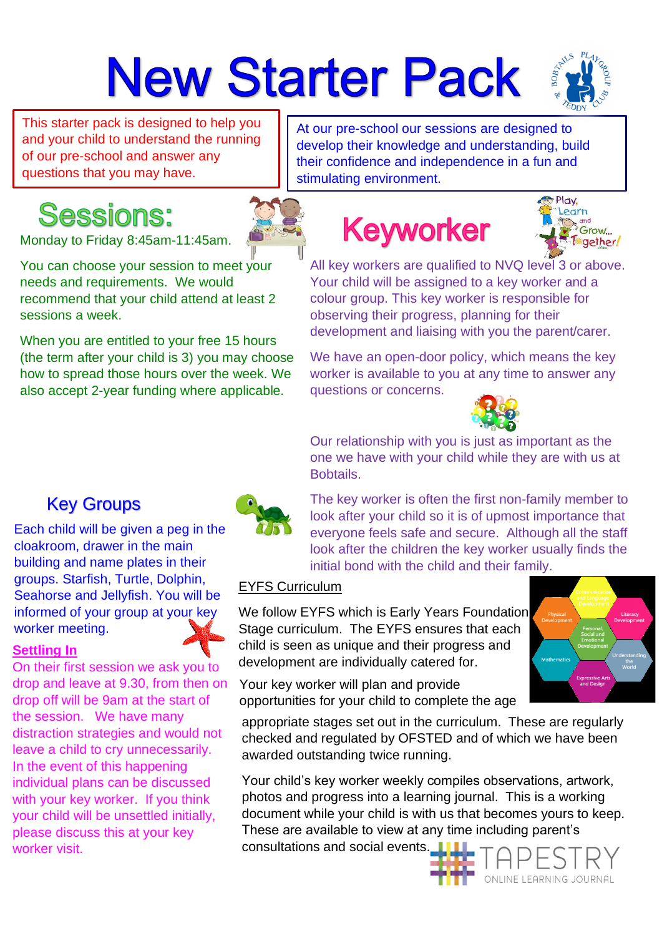# **New Starter Pack**



This starter pack is designed to help you and your child to understand the running of our pre-school and answer any questions that you may have.

At our pre-school our sessions are designed to develop their knowledge and understanding, build their confidence and independence in a fun and stimulating environment.

## **Sessions:**

Monday to Friday 8:45am-11:45am.

You can choose your session to meet your needs and requirements. We would recommend that your child attend at least 2 sessions a week.

When you are entitled to your free 15 hours (the term after your child is 3) you may choose how to spread those hours over the week. We also accept 2-year funding where applicable.

# **Keyworker**



All key workers are qualified to NVQ level 3 or above. Your child will be assigned to a key worker and a colour group. This key worker is responsible for observing their progress, planning for their development and liaising with you the parent/carer.

We have an open-door policy, which means the key worker is available to you at any time to answer any questions or concerns.



Our relationship with you [is just as im](https://www.google.co.uk/url?sa=i&rct=j&q=&esrc=s&source=images&cd=&ved=2ahUKEwi-2ceA_rHiAhVJ0uAKHWW4CfsQjRx6BAgBEAU&url=https%3A%2F%2Fpixabay.com%2Fillustrations%2Fquestion-mark-note-duplicate-2110767%2F&psig=AOvVaw3f_GjRalALEhsMk8jh6Iv_&ust=1558712314768996)portant as the one we have with your child while they are with us at Bobtails.

The key worker is often the first non-family member to look after your child so it is of upmost importance that everyone feels safe and secure. Although all the staff look after the children the key worker usually finds the initial bond with the child and their family.

#### EYFS Curriculum

We follow EYFS which is Early Years Foundation Stage curriculum. The EYFS ensures that each child is seen as unique and their progress and development are individually catered for.

Your key worker will plan and provide opportunities for your child to complete the age

appropriate stages set out in the curriculum. These are regularly checked and regulated by OFSTED and of which we have been awarded outstanding twice running.

Your child's key worker weekly compiles observations, artwork, photos and progress into a learning journal. This is a working document while your child is with us that becomes yours to keep. These are available to view at any time including parent's consultations and social events.



### Key Groups

Each child will be given a peg in the cloakroom, drawer in the main building and name plates in their groups. Starfish, Turtle, Dolphin, Seahorse and Jellyfish. You will be informed of your group at your key worker meeting.

#### **Settling In**

On their first session we ask you to drop and leave at 9.30, from then on drop off will be 9am at the start of the session. We have many distraction strategies and would not leave a child to cry unnecessarily. In the event of this happening individual plans can be discussed with your key worker. If you think your child will be unsettled initially, please discuss this at your key worker visit.